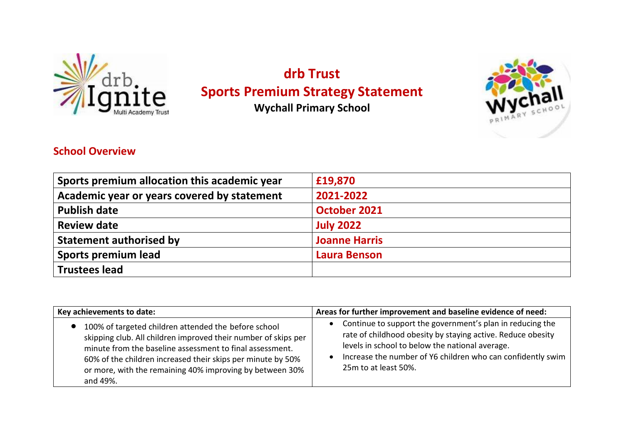

## **drb Trust Sports Premium Strategy Statement**

**Wychall Primary School**



## **School Overview**

| Sports premium allocation this academic year | £19,870              |
|----------------------------------------------|----------------------|
| Academic year or years covered by statement  | 2021-2022            |
| <b>Publish date</b>                          | <b>October 2021</b>  |
| <b>Review date</b>                           | <b>July 2022</b>     |
| <b>Statement authorised by</b>               | <b>Joanne Harris</b> |
| <b>Sports premium lead</b>                   | <b>Laura Benson</b>  |
| <b>Trustees lead</b>                         |                      |

| Key achievements to date:                                                                                                                                                                                                                                                                                                 | Areas for further improvement and baseline evidence of need:                                                                                                                                                                                                       |  |  |  |
|---------------------------------------------------------------------------------------------------------------------------------------------------------------------------------------------------------------------------------------------------------------------------------------------------------------------------|--------------------------------------------------------------------------------------------------------------------------------------------------------------------------------------------------------------------------------------------------------------------|--|--|--|
| 100% of targeted children attended the before school<br>skipping club. All children improved their number of skips per<br>minute from the baseline assessment to final assessment.<br>60% of the children increased their skips per minute by 50%<br>or more, with the remaining 40% improving by between 30%<br>and 49%. | Continue to support the government's plan in reducing the<br>rate of childhood obesity by staying active. Reduce obesity<br>levels in school to below the national average.<br>Increase the number of Y6 children who can confidently swim<br>25m to at least 50%. |  |  |  |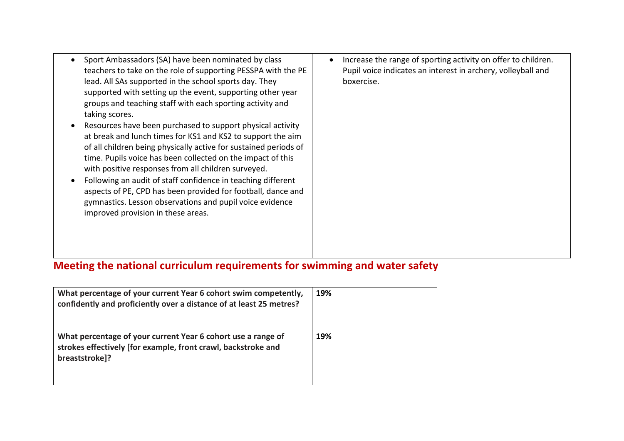| Sport Ambassadors (SA) have been nominated by class<br>teachers to take on the role of supporting PESSPA with the PE<br>lead. All SAs supported in the school sports day. They<br>supported with setting up the event, supporting other year<br>groups and teaching staff with each sporting activity and<br>taking scores.<br>Resources have been purchased to support physical activity<br>at break and lunch times for KS1 and KS2 to support the aim<br>of all children being physically active for sustained periods of<br>time. Pupils voice has been collected on the impact of this<br>with positive responses from all children surveyed.<br>Following an audit of staff confidence in teaching different<br>aspects of PE, CPD has been provided for football, dance and<br>gymnastics. Lesson observations and pupil voice evidence<br>improved provision in these areas. | Increase the range of sporting activity on offer to children.<br>€<br>Pupil voice indicates an interest in archery, volleyball and<br>boxercise. |
|--------------------------------------------------------------------------------------------------------------------------------------------------------------------------------------------------------------------------------------------------------------------------------------------------------------------------------------------------------------------------------------------------------------------------------------------------------------------------------------------------------------------------------------------------------------------------------------------------------------------------------------------------------------------------------------------------------------------------------------------------------------------------------------------------------------------------------------------------------------------------------------|--------------------------------------------------------------------------------------------------------------------------------------------------|
|--------------------------------------------------------------------------------------------------------------------------------------------------------------------------------------------------------------------------------------------------------------------------------------------------------------------------------------------------------------------------------------------------------------------------------------------------------------------------------------------------------------------------------------------------------------------------------------------------------------------------------------------------------------------------------------------------------------------------------------------------------------------------------------------------------------------------------------------------------------------------------------|--------------------------------------------------------------------------------------------------------------------------------------------------|

## **Meeting the national curriculum requirements for swimming and water safety**

| What percentage of your current Year 6 cohort swim competently,<br>confidently and proficiently over a distance of at least 25 metres?          | 19% |
|-------------------------------------------------------------------------------------------------------------------------------------------------|-----|
| What percentage of your current Year 6 cohort use a range of<br>strokes effectively [for example, front crawl, backstroke and<br>breaststroke]? | 19% |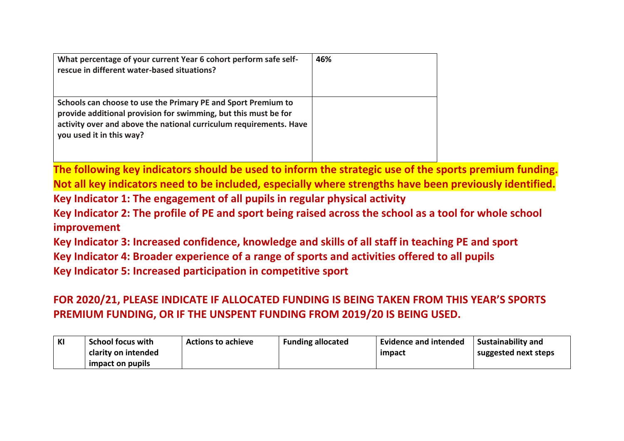| What percentage of your current Year 6 cohort perform safe self-<br>rescue in different water-based situations?                                                                                                                    | 46% |
|------------------------------------------------------------------------------------------------------------------------------------------------------------------------------------------------------------------------------------|-----|
| Schools can choose to use the Primary PE and Sport Premium to<br>provide additional provision for swimming, but this must be for<br>activity over and above the national curriculum requirements. Have<br>you used it in this way? |     |

**The following key indicators should be used to inform the strategic use of the sports premium funding. Not all key indicators need to be included, especially where strengths have been previously identified. Key Indicator 1: The engagement of all pupils in regular physical activity**

**Key Indicator 2: The profile of PE and sport being raised across the school as a tool for whole school improvement**

**Key Indicator 3: Increased confidence, knowledge and skills of all staff in teaching PE and sport Key Indicator 4: Broader experience of a range of sports and activities offered to all pupils Key Indicator 5: Increased participation in competitive sport**

**FOR 2020/21, PLEASE INDICATE IF ALLOCATED FUNDING IS BEING TAKEN FROM THIS YEAR'S SPORTS PREMIUM FUNDING, OR IF THE UNSPENT FUNDING FROM 2019/20 IS BEING USED.**

| KI | <b>School focus with</b> | <b>Actions to achieve</b> | <b>Funding allocated</b> | <b>Evidence and intended</b> | <b>Sustainability and</b> |
|----|--------------------------|---------------------------|--------------------------|------------------------------|---------------------------|
|    | clarity on intended      |                           |                          | impact                       | suggested next steps      |
|    | impact on pupils         |                           |                          |                              |                           |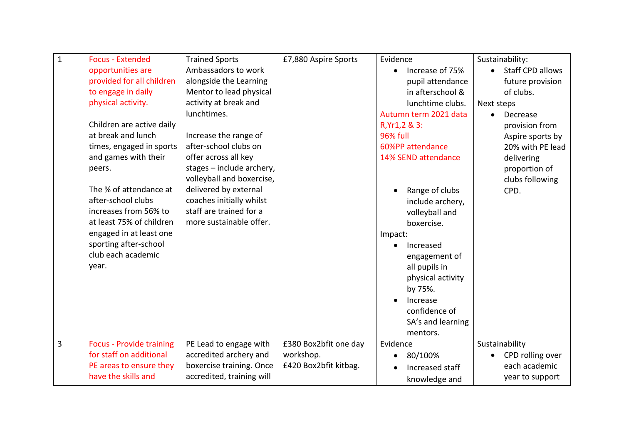| $\mathbf 1$ | <b>Focus - Extended</b>         | <b>Trained Sports</b>     | £7,880 Aspire Sports  | Evidence                     | Sustainability:         |
|-------------|---------------------------------|---------------------------|-----------------------|------------------------------|-------------------------|
|             | opportunities are               | Ambassadors to work       |                       | Increase of 75%<br>$\bullet$ | <b>Staff CPD allows</b> |
|             | provided for all children       | alongside the Learning    |                       | pupil attendance             | future provision        |
|             | to engage in daily              | Mentor to lead physical   |                       | in afterschool &             | of clubs.               |
|             | physical activity.              | activity at break and     |                       | lunchtime clubs.             | Next steps              |
|             |                                 | lunchtimes.               |                       | Autumn term 2021 data        | Decrease<br>$\bullet$   |
|             | Children are active daily       |                           |                       | R, Yr1, 2 & 3:               | provision from          |
|             | at break and lunch              | Increase the range of     |                       | <b>96% full</b>              | Aspire sports by        |
|             | times, engaged in sports        | after-school clubs on     |                       | 60%PP attendance             | 20% with PE lead        |
|             | and games with their            | offer across all key      |                       | 14% SEND attendance          | delivering              |
|             | peers.                          | stages - include archery, |                       |                              | proportion of           |
|             |                                 | volleyball and boxercise, |                       |                              | clubs following         |
|             | The % of attendance at          | delivered by external     |                       | Range of clubs               | CPD.                    |
|             | after-school clubs              | coaches initially whilst  |                       | include archery,             |                         |
|             | increases from 56% to           | staff are trained for a   |                       | volleyball and               |                         |
|             | at least 75% of children        | more sustainable offer.   |                       | boxercise.                   |                         |
|             | engaged in at least one         |                           |                       | Impact:                      |                         |
|             | sporting after-school           |                           |                       | Increased                    |                         |
|             | club each academic              |                           |                       | engagement of                |                         |
|             | year.                           |                           |                       | all pupils in                |                         |
|             |                                 |                           |                       | physical activity            |                         |
|             |                                 |                           |                       | by 75%.                      |                         |
|             |                                 |                           |                       | Increase                     |                         |
|             |                                 |                           |                       | confidence of                |                         |
|             |                                 |                           |                       | SA's and learning            |                         |
|             |                                 |                           |                       | mentors.                     |                         |
| 3           | <b>Focus - Provide training</b> | PE Lead to engage with    | £380 Box2bfit one day | Evidence                     | Sustainability          |
|             | for staff on additional         | accredited archery and    | workshop.             | 80/100%<br>٠                 | CPD rolling over        |
|             | PE areas to ensure they         | boxercise training. Once  | £420 Box2bfit kitbag. | Increased staff              | each academic           |
|             | have the skills and             | accredited, training will |                       | knowledge and                | year to support         |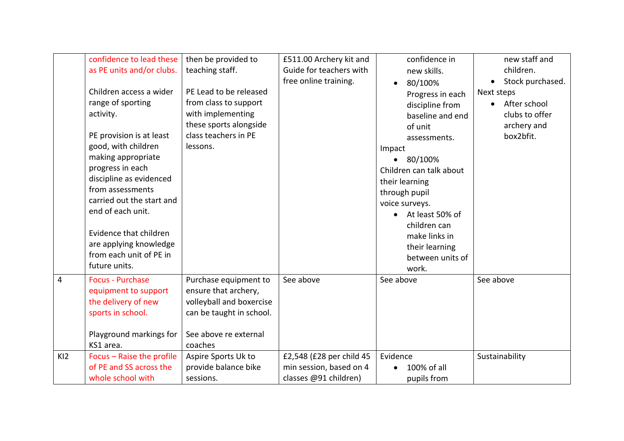|                 | confidence to lead these<br>as PE units and/or clubs.<br>Children access a wider<br>range of sporting<br>activity.<br>PE provision is at least<br>good, with children<br>making appropriate<br>progress in each<br>discipline as evidenced<br>from assessments<br>carried out the start and<br>end of each unit.<br>Evidence that children<br>are applying knowledge<br>from each unit of PE in<br>future units. | then be provided to<br>teaching staff.<br>PE Lead to be released<br>from class to support<br>with implementing<br>these sports alongside<br>class teachers in PE<br>lessons. | £511.00 Archery kit and<br>Guide for teachers with<br>free online training.  | confidence in<br>new skills.<br>80/100%<br>$\bullet$<br>Progress in each<br>discipline from<br>baseline and end<br>of unit<br>assessments.<br>Impact<br>80/100%<br>$\bullet$<br>Children can talk about<br>their learning<br>through pupil<br>voice surveys.<br>At least 50% of<br>children can<br>make links in<br>their learning<br>between units of | new staff and<br>children.<br>Stock purchased.<br>$\bullet$<br>Next steps<br>After school<br>$\bullet$<br>clubs to offer<br>archery and<br>box2bfit. |
|-----------------|------------------------------------------------------------------------------------------------------------------------------------------------------------------------------------------------------------------------------------------------------------------------------------------------------------------------------------------------------------------------------------------------------------------|------------------------------------------------------------------------------------------------------------------------------------------------------------------------------|------------------------------------------------------------------------------|--------------------------------------------------------------------------------------------------------------------------------------------------------------------------------------------------------------------------------------------------------------------------------------------------------------------------------------------------------|------------------------------------------------------------------------------------------------------------------------------------------------------|
| 4               | <b>Focus - Purchase</b><br>equipment to support<br>the delivery of new<br>sports in school.                                                                                                                                                                                                                                                                                                                      | Purchase equipment to<br>ensure that archery,<br>volleyball and boxercise<br>can be taught in school.                                                                        | See above                                                                    | work.<br>See above                                                                                                                                                                                                                                                                                                                                     | See above                                                                                                                                            |
|                 | Playground markings for<br>KS1 area.                                                                                                                                                                                                                                                                                                                                                                             | See above re external<br>coaches                                                                                                                                             |                                                                              |                                                                                                                                                                                                                                                                                                                                                        |                                                                                                                                                      |
| K <sub>12</sub> | Focus - Raise the profile<br>of PE and SS across the<br>whole school with                                                                                                                                                                                                                                                                                                                                        | Aspire Sports Uk to<br>provide balance bike<br>sessions.                                                                                                                     | £2,548 (£28 per child 45<br>min session, based on 4<br>classes @91 children) | Evidence<br>100% of all<br>pupils from                                                                                                                                                                                                                                                                                                                 | Sustainability                                                                                                                                       |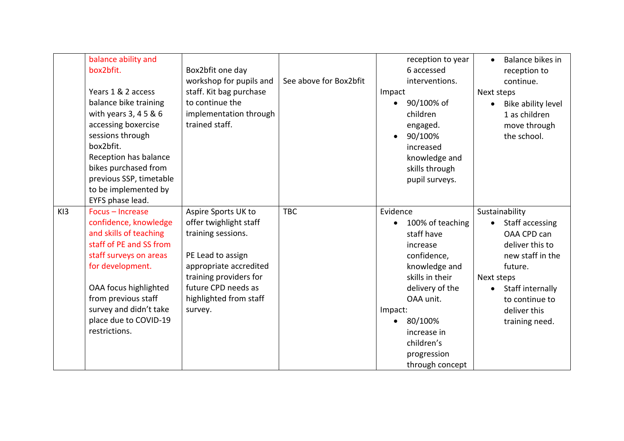|     | balance ability and<br>box2bfit.<br>Years 1 & 2 access<br>balance bike training<br>with years 3, 4 5 & 6<br>accessing boxercise<br>sessions through<br>box2bfit.<br>Reception has balance<br>bikes purchased from<br>previous SSP, timetable<br>to be implemented by | Box2bfit one day<br>workshop for pupils and<br>staff. Kit bag purchase<br>to continue the<br>implementation through<br>trained staff.                                             | See above for Box2bfit | Impact<br>$\bullet$ | reception to year<br>6 accessed<br>interventions.<br>90/100% of<br>children<br>engaged.<br>90/100%<br>increased<br>knowledge and<br>skills through<br>pupil surveys.                                    | $\bullet$<br>Next steps<br>$\bullet$ | Balance bikes in<br>reception to<br>continue.<br>Bike ability level<br>1 as children<br>move through<br>the school.                                      |
|-----|----------------------------------------------------------------------------------------------------------------------------------------------------------------------------------------------------------------------------------------------------------------------|-----------------------------------------------------------------------------------------------------------------------------------------------------------------------------------|------------------------|---------------------|---------------------------------------------------------------------------------------------------------------------------------------------------------------------------------------------------------|--------------------------------------|----------------------------------------------------------------------------------------------------------------------------------------------------------|
| K13 | EYFS phase lead.<br>Focus - Increase                                                                                                                                                                                                                                 | Aspire Sports UK to                                                                                                                                                               | <b>TBC</b>             | Evidence            |                                                                                                                                                                                                         |                                      | Sustainability                                                                                                                                           |
|     | confidence, knowledge<br>and skills of teaching<br>staff of PE and SS from<br>staff surveys on areas<br>for development.<br>OAA focus highlighted<br>from previous staff<br>survey and didn't take<br>place due to COVID-19<br>restrictions.                         | offer twighlight staff<br>training sessions.<br>PE Lead to assign<br>appropriate accredited<br>training providers for<br>future CPD needs as<br>highlighted from staff<br>survey. |                        | Impact:<br>٠        | 100% of teaching<br>staff have<br>increase<br>confidence,<br>knowledge and<br>skills in their<br>delivery of the<br>OAA unit.<br>80/100%<br>increase in<br>children's<br>progression<br>through concept | Next steps<br>$\bullet$              | Staff accessing<br>OAA CPD can<br>deliver this to<br>new staff in the<br>future.<br>Staff internally<br>to continue to<br>deliver this<br>training need. |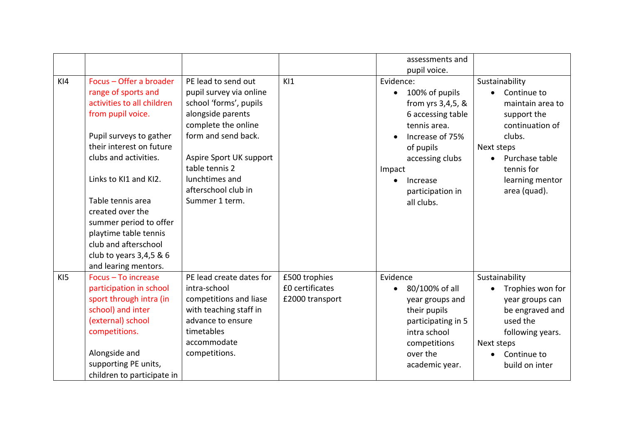|                 |                                                                                                                                                                                                                                                                                                                                                                                   |                                                                                                                                                                                                                                                     |                                                     |                                  | assessments and                                                                                                                                                           |                                                                                                                                                                                |
|-----------------|-----------------------------------------------------------------------------------------------------------------------------------------------------------------------------------------------------------------------------------------------------------------------------------------------------------------------------------------------------------------------------------|-----------------------------------------------------------------------------------------------------------------------------------------------------------------------------------------------------------------------------------------------------|-----------------------------------------------------|----------------------------------|---------------------------------------------------------------------------------------------------------------------------------------------------------------------------|--------------------------------------------------------------------------------------------------------------------------------------------------------------------------------|
|                 |                                                                                                                                                                                                                                                                                                                                                                                   |                                                                                                                                                                                                                                                     |                                                     |                                  | pupil voice.                                                                                                                                                              |                                                                                                                                                                                |
| K <sub>14</sub> | Focus - Offer a broader<br>range of sports and<br>activities to all children<br>from pupil voice.<br>Pupil surveys to gather<br>their interest on future<br>clubs and activities.<br>Links to KI1 and KI2.<br>Table tennis area<br>created over the<br>summer period to offer<br>playtime table tennis<br>club and afterschool<br>club to years 3,4,5 & 6<br>and learing mentors. | PE lead to send out<br>pupil survey via online<br>school 'forms', pupils<br>alongside parents<br>complete the online<br>form and send back.<br>Aspire Sport UK support<br>table tennis 2<br>lunchtimes and<br>afterschool club in<br>Summer 1 term. | K11                                                 | Evidence:<br>$\bullet$<br>Impact | 100% of pupils<br>from yrs 3,4,5, &<br>6 accessing table<br>tennis area.<br>Increase of 75%<br>of pupils<br>accessing clubs<br>Increase<br>participation in<br>all clubs. | Sustainability<br>Continue to<br>maintain area to<br>support the<br>continuation of<br>clubs.<br>Next steps<br>Purchase table<br>tennis for<br>learning mentor<br>area (quad). |
| K15             | Focus - To increase<br>participation in school<br>sport through intra (in<br>school) and inter<br>(external) school<br>competitions.<br>Alongside and<br>supporting PE units,<br>children to participate in                                                                                                                                                                       | PE lead create dates for<br>intra-school<br>competitions and liase<br>with teaching staff in<br>advance to ensure<br>timetables<br>accommodate<br>competitions.                                                                                     | £500 trophies<br>£0 certificates<br>£2000 transport | Evidence<br>$\bullet$            | 80/100% of all<br>year groups and<br>their pupils<br>participating in 5<br>intra school<br>competitions<br>over the<br>academic year.                                     | Sustainability<br>Trophies won for<br>year groups can<br>be engraved and<br>used the<br>following years.<br>Next steps<br>Continue to<br>build on inter                        |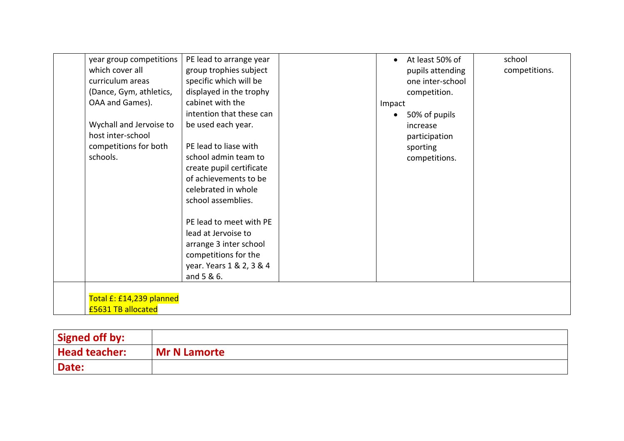|                       | year group competitions  | PE lead to arrange year  | $\bullet$ | At least 50% of  | school        |
|-----------------------|--------------------------|--------------------------|-----------|------------------|---------------|
| which cover all       |                          | group trophies subject   |           | pupils attending | competitions. |
| curriculum areas      |                          | specific which will be   |           | one inter-school |               |
|                       | (Dance, Gym, athletics,  | displayed in the trophy  |           | competition.     |               |
| OAA and Games).       |                          | cabinet with the         | Impact    |                  |               |
|                       |                          | intention that these can | $\bullet$ | 50% of pupils    |               |
|                       | Wychall and Jervoise to  | be used each year.       |           | increase         |               |
| host inter-school     |                          |                          |           | participation    |               |
| competitions for both |                          | PE lead to liase with    |           | sporting         |               |
| schools.              |                          | school admin team to     |           | competitions.    |               |
|                       |                          | create pupil certificate |           |                  |               |
|                       |                          | of achievements to be    |           |                  |               |
|                       |                          | celebrated in whole      |           |                  |               |
|                       |                          | school assemblies.       |           |                  |               |
|                       |                          | PE lead to meet with PE  |           |                  |               |
|                       |                          | lead at Jervoise to      |           |                  |               |
|                       |                          | arrange 3 inter school   |           |                  |               |
|                       |                          | competitions for the     |           |                  |               |
|                       |                          | year. Years 1 & 2, 3 & 4 |           |                  |               |
|                       |                          | and 5 & 6.               |           |                  |               |
|                       |                          |                          |           |                  |               |
|                       | Total £: £14,239 planned |                          |           |                  |               |
| £5631 TB allocated    |                          |                          |           |                  |               |

| Signed off by:       |                     |
|----------------------|---------------------|
| <b>Head teacher:</b> | <b>Mr N Lamorte</b> |
| Date:                |                     |